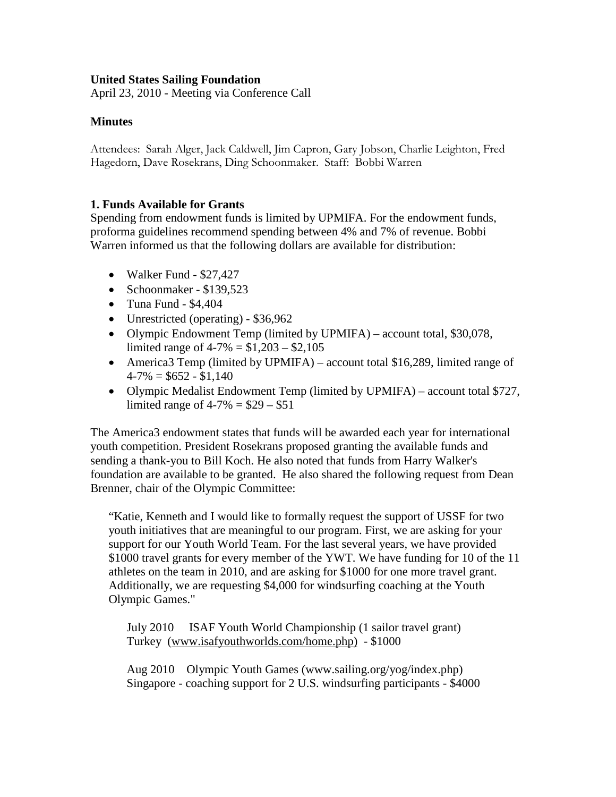#### **United States Sailing Foundation**

April 23, 2010 - Meeting via Conference Call

#### **Minutes**

Attendees: Sarah Alger, Jack Caldwell, Jim Capron, Gary Jobson, Charlie Leighton, Fred Hagedorn, Dave Rosekrans, Ding Schoonmaker. Staff: Bobbi Warren

#### **1. Funds Available for Grants**

Spending from endowment funds is limited by UPMIFA. For the endowment funds, proforma guidelines recommend spending between 4% and 7% of revenue. Bobbi Warren informed us that the following dollars are available for distribution:

- Walker Fund \$27,427
- Schoonmaker \$139,523
- Tuna Fund \$4,404
- Unrestricted (operating) \$36,962
- Olympic Endowment Temp (limited by UPMIFA) account total, \$30,078, limited range of  $4-7\% = $1,203 - $2,105$
- America3 Temp (limited by UPMIFA) account total \$16,289, limited range of  $4-7\% = $652 - $1,140$
- Olympic Medalist Endowment Temp (limited by UPMIFA) account total \$727, limited range of  $4-7\% = $29 - $51$

The America3 endowment states that funds will be awarded each year for international youth competition. President Rosekrans proposed granting the available funds and sending a thank-you to Bill Koch. He also noted that funds from Harry Walker's foundation are available to be granted. He also shared the following request from Dean Brenner, chair of the Olympic Committee:

"Katie, Kenneth and I would like to formally request the support of USSF for two youth initiatives that are meaningful to our program. First, we are asking for your support for our Youth World Team. For the last several years, we have provided \$1000 travel grants for every member of the YWT. We have funding for 10 of the 11 athletes on the team in 2010, and are asking for \$1000 for one more travel grant. Additionally, we are requesting \$4,000 for windsurfing coaching at the Youth Olympic Games."

July 2010 ISAF Youth World Championship (1 sailor travel grant) Turkey [\(www.isafyouthworlds.com/home.php\)](http://www.isafyouthworlds.com/home.php) - \$1000

Aug 2010 Olympic Youth Games (www.sailing.org/yog/index.php) Singapore - coaching support for 2 U.S. windsurfing participants - \$4000